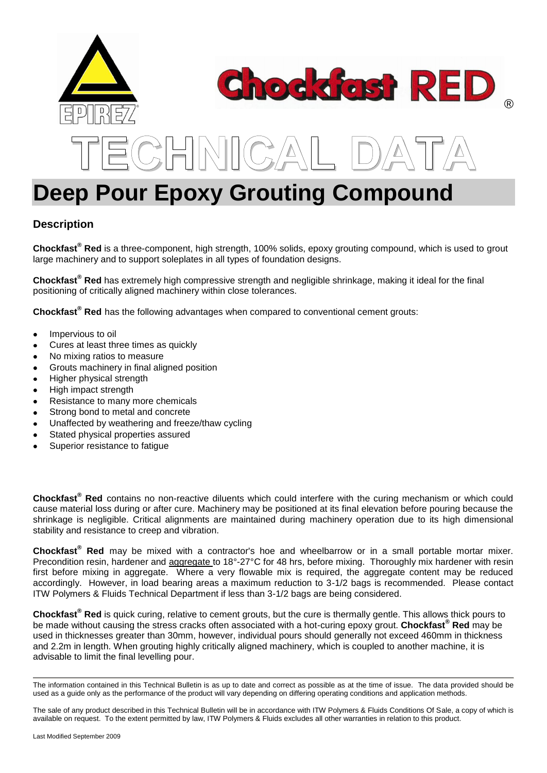

# **Description**

**Chockfast® Red** is a three-component, high strength, 100% solids, epoxy grouting compound, which is used to grout large machinery and to support soleplates in all types of foundation designs.

**Chockfast® Red** has extremely high compressive strength and negligible shrinkage, making it ideal for the final positioning of critically aligned machinery within close tolerances.

**Chockfast® Red** has the following advantages when compared to conventional cement grouts:

- Impervious to oil
- Cures at least three times as quickly
- No mixing ratios to measure
- Grouts machinery in final aligned position
- Higher physical strength
- High impact strength
- Resistance to many more chemicals
- Strong bond to metal and concrete
- Unaffected by weathering and freeze/thaw cycling
- Stated physical properties assured
- Superior resistance to fatigue

**Chockfast® Red** contains no non-reactive diluents which could interfere with the curing mechanism or which could cause material loss during or after cure. Machinery may be positioned at its final elevation before pouring because the shrinkage is negligible. Critical alignments are maintained during machinery operation due to its high dimensional stability and resistance to creep and vibration.

**Chockfast® Red** may be mixed with a contractor's hoe and wheelbarrow or in a small portable mortar mixer. Precondition resin, hardener and aggregate to 18°-27°C for 48 hrs, before mixing. Thoroughly mix hardener with resin first before mixing in aggregate. Where a very flowable mix is required, the aggregate content may be reduced accordingly. However, in load bearing areas a maximum reduction to 3-1/2 bags is recommended. Please contact ITW Polymers & Fluids Technical Department if less than 3-1/2 bags are being considered.

**Chockfast® Red** is quick curing, relative to cement grouts, but the cure is thermally gentle. This allows thick pours to be made without causing the stress cracks often associated with a hot-curing epoxy grout. **Chockfast® Red** may be used in thicknesses greater than 30mm, however, individual pours should generally not exceed 460mm in thickness and 2.2m in length. When grouting highly critically aligned machinery, which is coupled to another machine, it is advisable to limit the final levelling pour.

The information contained in this Technical Bulletin is as up to date and correct as possible as at the time of issue. The data provided should be used as a guide only as the performance of the product will vary depending on differing operating conditions and application methods.

The sale of any product described in this Technical Bulletin will be in accordance with ITW Polymers & Fluids Conditions Of Sale, a copy of which is available on request. To the extent permitted by law, ITW Polymers & Fluids excludes all other warranties in relation to this product.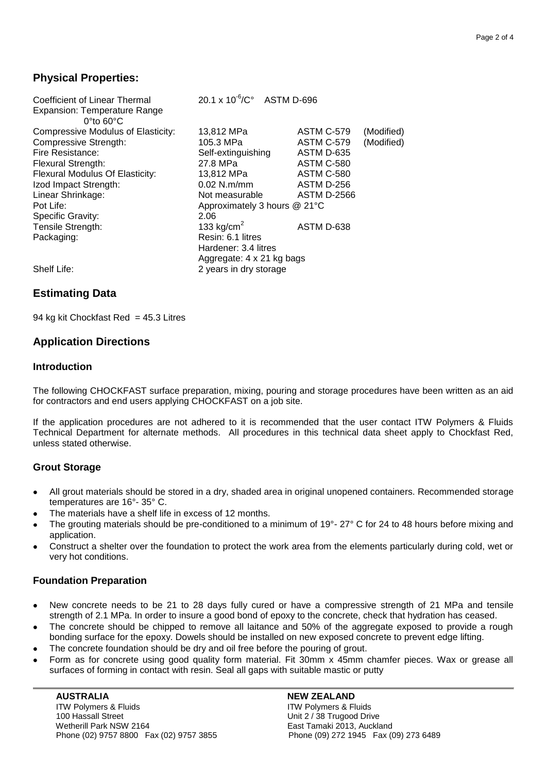## **Physical Properties:**

| Coefficient of Linear Thermal<br><b>Expansion: Temperature Range</b><br>$0^{\circ}$ to 60 $^{\circ}$ C | $20.1 \times 10^{-6}$ / $C^{\circ}$ ASTM D-696 |                                 |
|--------------------------------------------------------------------------------------------------------|------------------------------------------------|---------------------------------|
| <b>Compressive Modulus of Elasticity:</b>                                                              | 13,812 MPa                                     | (Modified)<br><b>ASTM C-579</b> |
| <b>Compressive Strength:</b>                                                                           | 105.3 MPa                                      | (Modified)<br><b>ASTM C-579</b> |
| Fire Resistance:                                                                                       | Self-extinguishing                             | ASTM D-635                      |
| Flexural Strength:                                                                                     | 27.8 MPa                                       | ASTM C-580                      |
| Flexural Modulus Of Elasticity:                                                                        | 13,812 MPa                                     | ASTM C-580                      |
| Izod Impact Strength:                                                                                  | $0.02$ N.m/mm                                  | ASTM D-256                      |
| Linear Shrinkage:                                                                                      | Not measurable                                 | <b>ASTM D-2566</b>              |
| Pot Life:                                                                                              | Approximately 3 hours @ 21°C                   |                                 |
| <b>Specific Gravity:</b>                                                                               | 2.06                                           |                                 |
| Tensile Strength:                                                                                      | 133 kg/cm <sup>2</sup>                         | ASTM D-638                      |
| Packaging:                                                                                             | Resin: 6.1 litres                              |                                 |
|                                                                                                        | Hardener: 3.4 litres                           |                                 |
|                                                                                                        | Aggregate: 4 x 21 kg bags                      |                                 |
| Shelf Life:                                                                                            | 2 years in dry storage                         |                                 |

## **Estimating Data**

94 kg kit Chockfast Red =  $45.3$  Litres

## **Application Directions**

#### **Introduction**

The following CHOCKFAST surface preparation, mixing, pouring and storage procedures have been written as an aid for contractors and end users applying CHOCKFAST on a job site.

If the application procedures are not adhered to it is recommended that the user contact ITW Polymers & Fluids Technical Department for alternate methods. All procedures in this technical data sheet apply to Chockfast Red, unless stated otherwise.

### **Grout Storage**

- All grout materials should be stored in a dry, shaded area in original unopened containers. Recommended storage temperatures are 16°- 35° C.
- The materials have a shelf life in excess of 12 months.
- The grouting materials should be pre-conditioned to a minimum of 19°- 27° C for 24 to 48 hours before mixing and application.
- Construct a shelter over the foundation to protect the work area from the elements particularly during cold, wet or very hot conditions.

### **Foundation Preparation**

- New concrete needs to be 21 to 28 days fully cured or have a compressive strength of 21 MPa and tensile strength of 2.1 MPa. In order to insure a good bond of epoxy to the concrete, check that hydration has ceased.
- The concrete should be chipped to remove all laitance and 50% of the aggregate exposed to provide a rough bonding surface for the epoxy. Dowels should be installed on new exposed concrete to prevent edge lifting.
- The concrete foundation should be dry and oil free before the pouring of grout.
- Form as for concrete using good quality form material. Fit 30mm x 45mm chamfer pieces. Wax or grease all surfaces of forming in contact with resin. Seal all gaps with suitable mastic or putty

 **AUSTRALIA NEW ZEALAND** ITW Polymers & Fluids 100 Hassall Street **Transformation** Unit 2 / 38 Trugood Drive Wetherill Park NSW 2164 **East Tamaki 2013, Auckland** Phone (02) 9757 8800 Fax (02) 9757 3855 Phone (09) 272 1945 Fax (09) 273 6489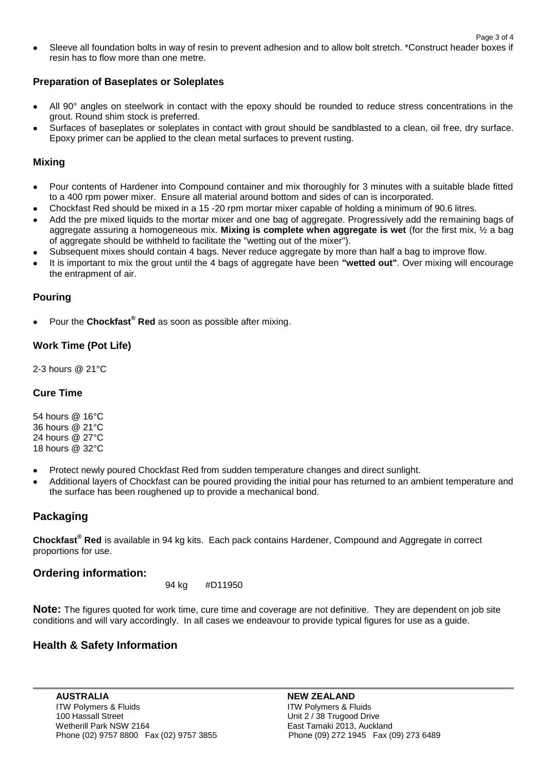Sleeve all foundation bolts in way of resin to prevent adhesion and to allow bolt stretch. \*Construct header boxes if resin has to flow more than one metre.

#### **Preparation of Baseplates or Soleplates**

- All 90° angles on steelwork in contact with the epoxy should be rounded to reduce stress concentrations in the grout. Round shim stock is preferred.
- Surfaces of baseplates or soleplates in contact with grout should be sandblasted to a clean, oil free, dry surface. Epoxy primer can be applied to the clean metal surfaces to prevent rusting.

#### **Mixing**

- Pour contents of Hardener into Compound container and mix thoroughly for 3 minutes with a suitable blade fitted to a 400 rpm power mixer. Ensure all material around bottom and sides of can is incorporated.
- Chockfast Red should be mixed in a 15 -20 rpm mortar mixer capable of holding a minimum of 90.6 litres.
- Add the pre mixed liquids to the mortar mixer and one bag of aggregate. Progressively add the remaining bags of aggregate assuring a homogeneous mix. **Mixing is complete when aggregate is wet** (for the first mix, ½ a bag of aggregate should be withheld to facilitate the "wetting out of the mixer").
- Subsequent mixes should contain 4 bags. Never reduce aggregate by more than half a bag to improve flow.
- It is important to mix the grout until the 4 bags of aggregate have been **"wetted out"**. Over mixing will encourage the entrapment of air.

### **Pouring**

Pour the **Chockfast® Red** as soon as possible after mixing.

### **Work Time (Pot Life)**

2-3 hours @ 21°C

### **Cure Time**

54 hours @ 16°C 36 hours @ 21°C 24 hours @ 27°C 18 hours @ 32°C

- Protect newly poured Chockfast Red from sudden temperature changes and direct sunlight.  $\bullet$
- Additional layers of Chockfast can be poured providing the initial pour has returned to an ambient temperature and the surface has been roughened up to provide a mechanical bond.

## **Packaging**

**Chockfast® Red** is available in 94 kg kits. Each pack contains Hardener, Compound and Aggregate in correct proportions for use.

### **Ordering information:**

94 kg #D11950

**Note:** The figures quoted for work time, cure time and coverage are not definitive. They are dependent on job site conditions and will vary accordingly. In all cases we endeavour to provide typical figures for use as a guide.

### **Health & Safety Information**

**AUSTRALIA**<br>ITW Polymers & Fluids **NEW ZEALAND**<br>ITW Polymers & Fluids ITW Polymers & Fluids 100 Hassall Street **Transformation** Unit 2 / 38 Trugood Drive Wetherill Park NSW 2164 **East Tamaki 2013, Auckland** Phone (02) 9757 8800 Fax (02) 9757 3855 Phone (09) 272 1945 Fax (09) 273 6489